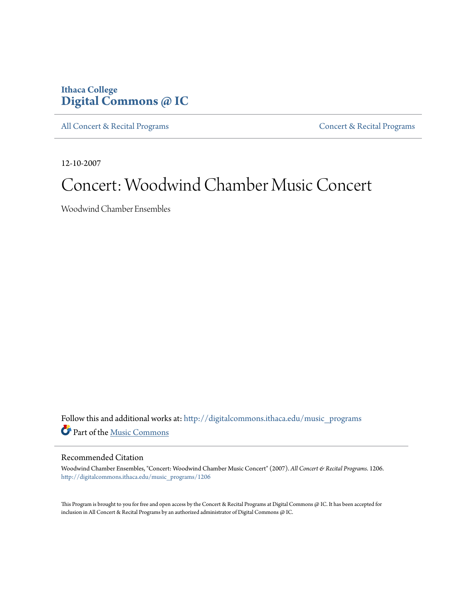## **Ithaca College [Digital Commons @ IC](http://digitalcommons.ithaca.edu?utm_source=digitalcommons.ithaca.edu%2Fmusic_programs%2F1206&utm_medium=PDF&utm_campaign=PDFCoverPages)**

[All Concert & Recital Programs](http://digitalcommons.ithaca.edu/music_programs?utm_source=digitalcommons.ithaca.edu%2Fmusic_programs%2F1206&utm_medium=PDF&utm_campaign=PDFCoverPages) **[Concert & Recital Programs](http://digitalcommons.ithaca.edu/som_programs?utm_source=digitalcommons.ithaca.edu%2Fmusic_programs%2F1206&utm_medium=PDF&utm_campaign=PDFCoverPages)** 

12-10-2007

# Concert: Woodwind Chamber Music Concert

Woodwind Chamber Ensembles

Follow this and additional works at: [http://digitalcommons.ithaca.edu/music\\_programs](http://digitalcommons.ithaca.edu/music_programs?utm_source=digitalcommons.ithaca.edu%2Fmusic_programs%2F1206&utm_medium=PDF&utm_campaign=PDFCoverPages) Part of the [Music Commons](http://network.bepress.com/hgg/discipline/518?utm_source=digitalcommons.ithaca.edu%2Fmusic_programs%2F1206&utm_medium=PDF&utm_campaign=PDFCoverPages)

### Recommended Citation

Woodwind Chamber Ensembles, "Concert: Woodwind Chamber Music Concert" (2007). *All Concert & Recital Programs*. 1206. [http://digitalcommons.ithaca.edu/music\\_programs/1206](http://digitalcommons.ithaca.edu/music_programs/1206?utm_source=digitalcommons.ithaca.edu%2Fmusic_programs%2F1206&utm_medium=PDF&utm_campaign=PDFCoverPages)

This Program is brought to you for free and open access by the Concert & Recital Programs at Digital Commons @ IC. It has been accepted for inclusion in All Concert & Recital Programs by an authorized administrator of Digital Commons @ IC.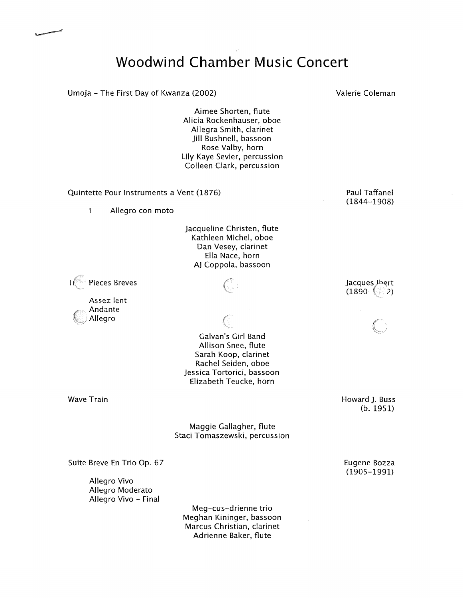## **Woodwind Chamber Music Concert**

Umoja - The First Day of Kwanza (2002)

Aimee Shorten, flute Alicia Rockenhauser, oboe Allegra Smith, clarinet Jill Bushnell, bassoon Rose Valby, horn Lily Kaye Sevier, percussion Colleen Clark, percussion

Quintette Pour Instruments a Vent (1876)

 $\mathbf{I}$ Allegro con moto

> Jacqueline Christen, flute Kathleen Michel, oboe Dan Vesey, clarinet Ella Nace, horn AJ Coppola, bassoon

Pieces Breves  $T$ 

> Assez lent Andante Allegro



Galvan's Girl Band Allison Snee, flute Sarah Koop, clarinet Rachel Seiden, oboe Jessica Tortorici, bassoon Elizabeth Teucke, horn

Wave Train

Maggie Gallagher, flute Staci Tomaszewski, percussion

Suite Breve En Trio Op. 67

Allegro Vivo Allegro Moderato Allegro Vivo - Final

> Meg-cus-drienne trio Meghan Kininger, bassoon Marcus Christian, clarinet Adrienne Baker, flute

Paul Taffanel

(1844-1908)

Jacques Jhert  $(1890 - 2)$ 

Howard J. Buss (b. 1951)

Eugene Bozza (1905-1991)

Valerie Coleman